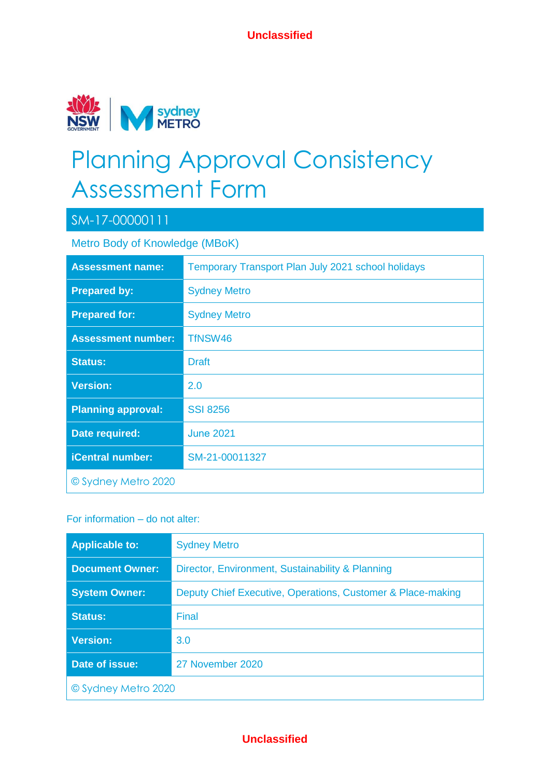

# Planning Approval Consistency Assessment Form

### SM-17-00000111

Metro Body of Knowledge (MBoK)

| <b>Assessment name:</b>   | Temporary Transport Plan July 2021 school holidays |
|---------------------------|----------------------------------------------------|
| <b>Prepared by:</b>       | <b>Sydney Metro</b>                                |
| <b>Prepared for:</b>      | <b>Sydney Metro</b>                                |
| <b>Assessment number:</b> | TfNSW46                                            |
| <b>Status:</b>            | <b>Draft</b>                                       |
| <b>Version:</b>           | 2.0                                                |
| <b>Planning approval:</b> | <b>SSI 8256</b>                                    |
| Date required:            | <b>June 2021</b>                                   |
| <b>iCentral number:</b>   | SM-21-00011327                                     |
| © Sydney Metro 2020       |                                                    |

#### For information – do not alter:

| <b>Applicable to:</b>  | <b>Sydney Metro</b>                                         |  |  |
|------------------------|-------------------------------------------------------------|--|--|
| <b>Document Owner:</b> | Director, Environment, Sustainability & Planning            |  |  |
| <b>System Owner:</b>   | Deputy Chief Executive, Operations, Customer & Place-making |  |  |
| <b>Status:</b>         | Final                                                       |  |  |
| <b>Version:</b>        | 3.0                                                         |  |  |
| Date of issue:         | 27 November 2020                                            |  |  |
| © Sydney Metro 2020    |                                                             |  |  |

#### **Unclassified**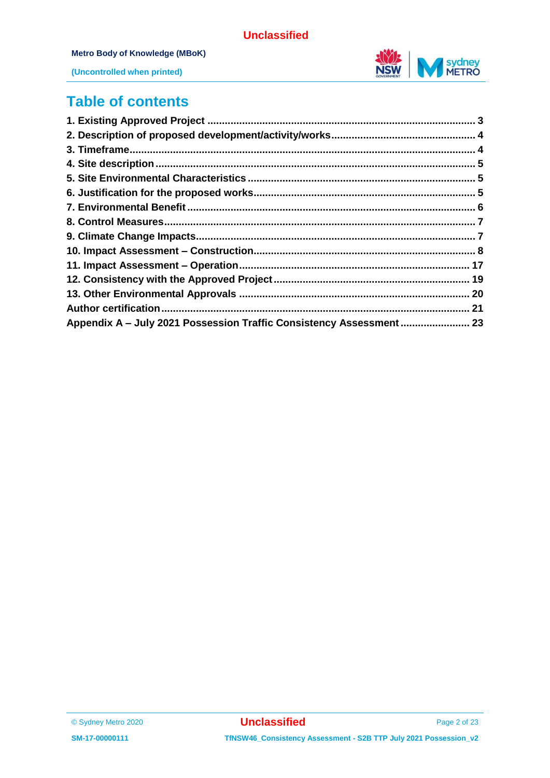

#### **Metro Body of Knowledge (MBoK)**



**(Uncontrolled when printed)**

### **Table of contents**

| Appendix A - July 2021 Possession Traffic Consistency Assessment  23 |  |
|----------------------------------------------------------------------|--|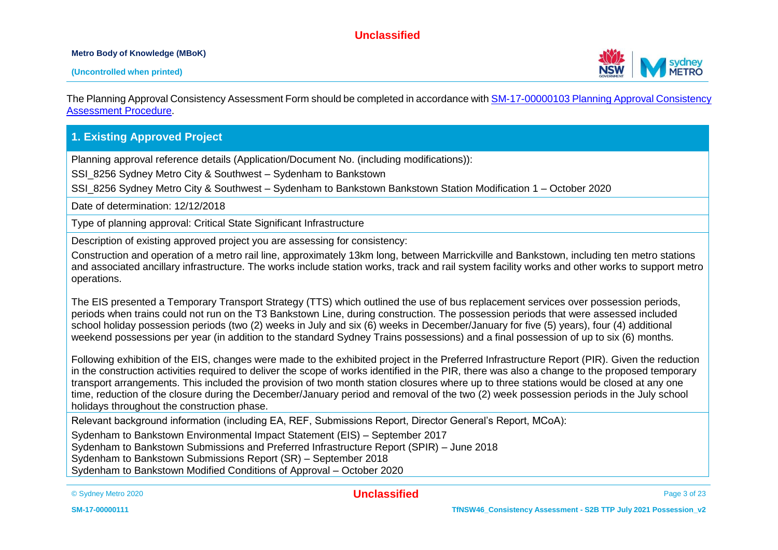#### **Metro Body of Knowledge (MBoK)**



The Planning Approval Consistency Assessment Form should be completed in accordance wit[h SM-17-00000103 Planning Approval Consistency](https://icentral.tdocs.transport.nsw.gov.au/otcs/cs.exe/app/nodes/3843028)  [Assessment Procedure.](https://icentral.tdocs.transport.nsw.gov.au/otcs/cs.exe/app/nodes/3843028)

#### **1. Existing Approved Project**

Planning approval reference details (Application/Document No. (including modifications)):

SSI\_8256 Sydney Metro City & Southwest – Sydenham to Bankstown

SSI\_8256 Sydney Metro City & Southwest – Sydenham to Bankstown Bankstown Station Modification 1 – October 2020

Date of determination: 12/12/2018

Type of planning approval: Critical State Significant Infrastructure

Description of existing approved project you are assessing for consistency:

Construction and operation of a metro rail line, approximately 13km long, between Marrickville and Bankstown, including ten metro stations and associated ancillary infrastructure. The works include station works, track and rail system facility works and other works to support metro operations.

The EIS presented a Temporary Transport Strategy (TTS) which outlined the use of bus replacement services over possession periods, periods when trains could not run on the T3 Bankstown Line, during construction. The possession periods that were assessed included school holiday possession periods (two (2) weeks in July and six (6) weeks in December/January for five (5) years), four (4) additional weekend possessions per year (in addition to the standard Sydney Trains possessions) and a final possession of up to six (6) months.

Following exhibition of the EIS, changes were made to the exhibited project in the Preferred Infrastructure Report (PIR). Given the reduction in the construction activities required to deliver the scope of works identified in the PIR, there was also a change to the proposed temporary transport arrangements. This included the provision of two month station closures where up to three stations would be closed at any one time, reduction of the closure during the December/January period and removal of the two (2) week possession periods in the July school holidays throughout the construction phase.

Relevant background information (including EA, REF, Submissions Report, Director General's Report, MCoA):

Sydenham to Bankstown Environmental Impact Statement (EIS) – September 2017

Sydenham to Bankstown Submissions and Preferred Infrastructure Report (SPIR) – June 2018

Sydenham to Bankstown Submissions Report (SR) – September 2018

Sydenham to Bankstown Modified Conditions of Approval – October 2020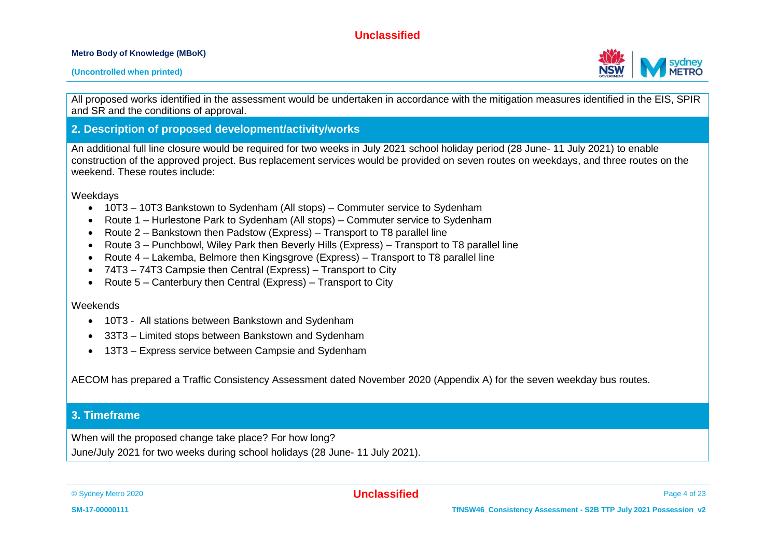#### **Metro Body of Knowledge (MBoK)**

#### **(Uncontrolled when printed)**

All proposed works identified in the assessment would be undertaken in accordance with the mitigation measures identified in the EIS, SPIR and SR and the conditions of approval.

#### **2. Description of proposed development/activity/works**

An additional full line closure would be required for two weeks in July 2021 school holiday period (28 June- 11 July 2021) to enable construction of the approved project. Bus replacement services would be provided on seven routes on weekdays, and three routes on the weekend. These routes include:

Weekdays

- 10T3 10T3 Bankstown to Sydenham (All stops) Commuter service to Sydenham
- Route 1 Hurlestone Park to Sydenham (All stops) Commuter service to Sydenham
- Route 2 Bankstown then Padstow (Express) Transport to T8 parallel line
- Route 3 Punchbowl, Wiley Park then Beverly Hills (Express) Transport to T8 parallel line
- Route 4 Lakemba, Belmore then Kingsgrove (Express) Transport to T8 parallel line
- 74T3 74T3 Campsie then Central (Express) Transport to City
- Route  $5 -$  Canterbury then Central (Express) Transport to City

#### **Weekends**

- 10T3 All stations between Bankstown and Sydenham
- 33T3 Limited stops between Bankstown and Sydenham
- 13T3 Express service between Campsie and Sydenham

AECOM has prepared a Traffic Consistency Assessment dated November 2020 (Appendix A) for the seven weekday bus routes.

#### **3. Timeframe**

When will the proposed change take place? For how long? June/July 2021 for two weeks during school holidays (28 June- 11 July 2021).

© Sydney Metro 2020 **Unclassified** Page 4 of 23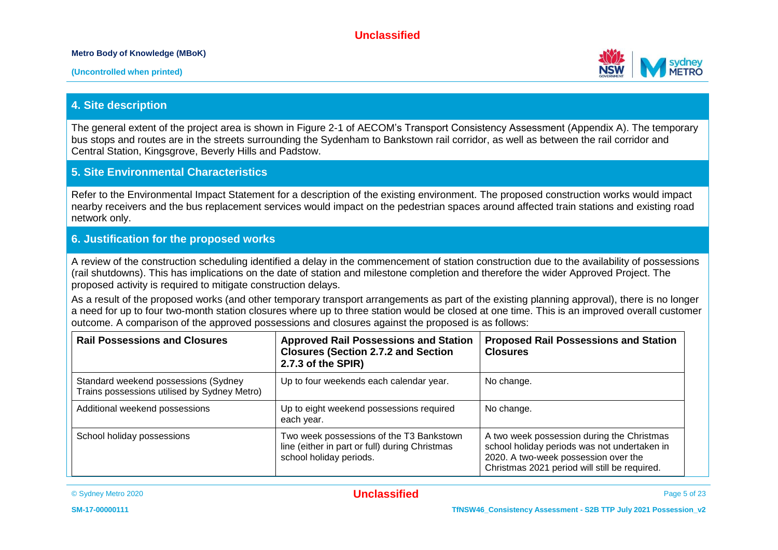#### **Metro Body of Knowledge (MBoK)**



#### **4. Site description**

The general extent of the project area is shown in Figure 2-1 of AECOM's Transport Consistency Assessment (Appendix A). The temporary bus stops and routes are in the streets surrounding the Sydenham to Bankstown rail corridor, as well as between the rail corridor and Central Station, Kingsgrove, Beverly Hills and Padstow.

#### **5. Site Environmental Characteristics**

Refer to the Environmental Impact Statement for a description of the existing environment. The proposed construction works would impact nearby receivers and the bus replacement services would impact on the pedestrian spaces around affected train stations and existing road network only.

#### **6. Justification for the proposed works**

A review of the construction scheduling identified a delay in the commencement of station construction due to the availability of possessions (rail shutdowns). This has implications on the date of station and milestone completion and therefore the wider Approved Project. The proposed activity is required to mitigate construction delays.

As a result of the proposed works (and other temporary transport arrangements as part of the existing planning approval), there is no longer a need for up to four two-month station closures where up to three station would be closed at one time. This is an improved overall customer outcome. A comparison of the approved possessions and closures against the proposed is as follows:

| <b>Rail Possessions and Closures</b>                                                 | <b>Approved Rail Possessions and Station</b><br><b>Closures (Section 2.7.2 and Section</b><br>2.7.3 of the SPIR)      | <b>Proposed Rail Possessions and Station</b><br><b>Closures</b>                                                                                                                     |
|--------------------------------------------------------------------------------------|-----------------------------------------------------------------------------------------------------------------------|-------------------------------------------------------------------------------------------------------------------------------------------------------------------------------------|
| Standard weekend possessions (Sydney<br>Trains possessions utilised by Sydney Metro) | Up to four weekends each calendar year.                                                                               | No change.                                                                                                                                                                          |
| Additional weekend possessions                                                       | Up to eight weekend possessions required<br>each year.                                                                | No change.                                                                                                                                                                          |
| School holiday possessions                                                           | Two week possessions of the T3 Bankstown<br>line (either in part or full) during Christmas<br>school holiday periods. | A two week possession during the Christmas<br>school holiday periods was not undertaken in<br>2020. A two-week possession over the<br>Christmas 2021 period will still be required. |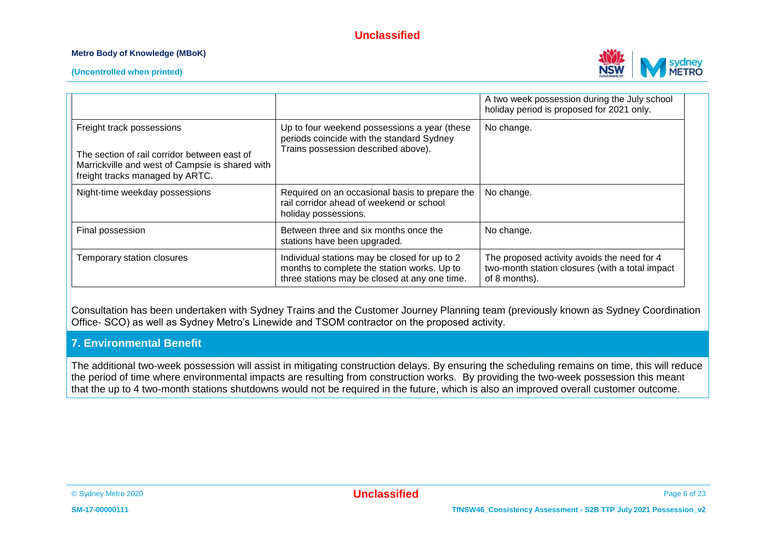#### **Metro Body of Knowledge (MBoK)**



**(Uncontrolled when printed)**

|                                                                                                                                                                 |                                                                                                                                               | A two week possession during the July school<br>holiday period is proposed for 2021 only.                       |
|-----------------------------------------------------------------------------------------------------------------------------------------------------------------|-----------------------------------------------------------------------------------------------------------------------------------------------|-----------------------------------------------------------------------------------------------------------------|
| Freight track possessions<br>The section of rail corridor between east of<br>Marrickville and west of Campsie is shared with<br>freight tracks managed by ARTC. | Up to four weekend possessions a year (these<br>periods coincide with the standard Sydney<br>Trains possession described above).              | No change.                                                                                                      |
| Night-time weekday possessions                                                                                                                                  | Required on an occasional basis to prepare the<br>rail corridor ahead of weekend or school<br>holiday possessions.                            | No change.                                                                                                      |
| Final possession                                                                                                                                                | Between three and six months once the<br>stations have been upgraded.                                                                         | No change.                                                                                                      |
| Temporary station closures                                                                                                                                      | Individual stations may be closed for up to 2<br>months to complete the station works. Up to<br>three stations may be closed at any one time. | The proposed activity avoids the need for 4<br>two-month station closures (with a total impact<br>of 8 months). |

Consultation has been undertaken with Sydney Trains and the Customer Journey Planning team (previously known as Sydney Coordination Office- SCO) as well as Sydney Metro's Linewide and TSOM contractor on the proposed activity.

#### **7. Environmental Benefit**

The additional two-week possession will assist in mitigating construction delays. By ensuring the scheduling remains on time, this will reduce the period of time where environmental impacts are resulting from construction works. By providing the two-week possession this meant that the up to 4 two-month stations shutdowns would not be required in the future, which is also an improved overall customer outcome.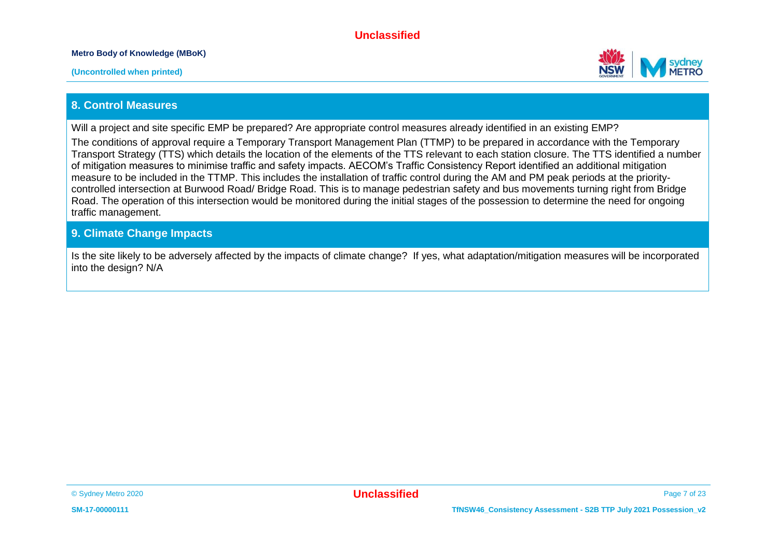**Metro Body of Knowledge (MBoK)**



#### **8. Control Measures**

Will a project and site specific EMP be prepared? Are appropriate control measures already identified in an existing EMP?

The conditions of approval require a Temporary Transport Management Plan (TTMP) to be prepared in accordance with the Temporary Transport Strategy (TTS) which details the location of the elements of the TTS relevant to each station closure. The TTS identified a number of mitigation measures to minimise traffic and safety impacts. AECOM's Traffic Consistency Report identified an additional mitigation measure to be included in the TTMP. This includes the installation of traffic control during the AM and PM peak periods at the prioritycontrolled intersection at Burwood Road/ Bridge Road. This is to manage pedestrian safety and bus movements turning right from Bridge Road. The operation of this intersection would be monitored during the initial stages of the possession to determine the need for ongoing traffic management.

#### **9. Climate Change Impacts**

Is the site likely to be adversely affected by the impacts of climate change? If yes, what adaptation/mitigation measures will be incorporated into the design? N/A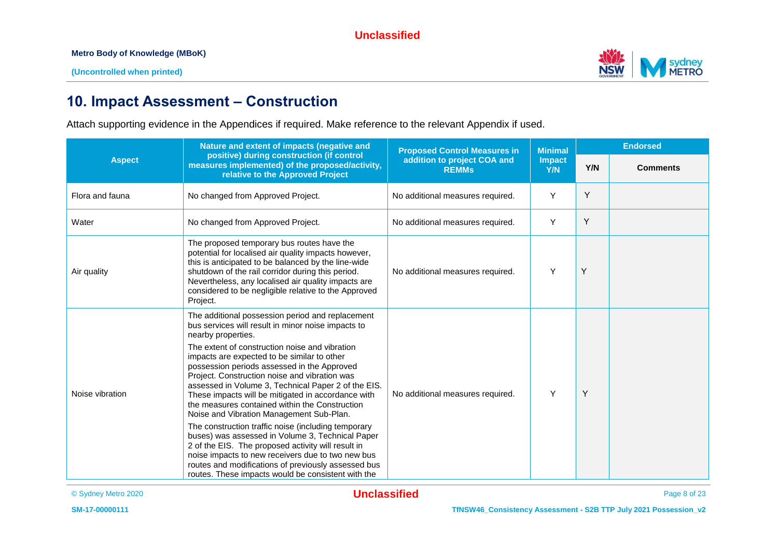

## **10. Impact Assessment – Construction**

Attach supporting evidence in the Appendices if required. Make reference to the relevant Appendix if used.

| <b>Aspect</b>   | Nature and extent of impacts (negative and<br>positive) during construction (if control<br>measures implemented) of the proposed/activity,<br>relative to the Approved Project                                                                                                                                                                                                                                                                                                                                                                                                                                                                                                                                                                                                                                                                                              | <b>Proposed Control Measures in</b>         | <b>Minimal</b><br>Impact<br>Y/N | <b>Endorsed</b> |                 |
|-----------------|-----------------------------------------------------------------------------------------------------------------------------------------------------------------------------------------------------------------------------------------------------------------------------------------------------------------------------------------------------------------------------------------------------------------------------------------------------------------------------------------------------------------------------------------------------------------------------------------------------------------------------------------------------------------------------------------------------------------------------------------------------------------------------------------------------------------------------------------------------------------------------|---------------------------------------------|---------------------------------|-----------------|-----------------|
|                 |                                                                                                                                                                                                                                                                                                                                                                                                                                                                                                                                                                                                                                                                                                                                                                                                                                                                             | addition to project COA and<br><b>REMMs</b> |                                 | Y/N             | <b>Comments</b> |
| Flora and fauna | No changed from Approved Project.                                                                                                                                                                                                                                                                                                                                                                                                                                                                                                                                                                                                                                                                                                                                                                                                                                           | No additional measures required.            | Y                               | Y               |                 |
| Water           | No changed from Approved Project.                                                                                                                                                                                                                                                                                                                                                                                                                                                                                                                                                                                                                                                                                                                                                                                                                                           | No additional measures required.            | Y                               | Y               |                 |
| Air quality     | The proposed temporary bus routes have the<br>potential for localised air quality impacts however,<br>this is anticipated to be balanced by the line-wide<br>shutdown of the rail corridor during this period.<br>Nevertheless, any localised air quality impacts are<br>considered to be negligible relative to the Approved<br>Project.                                                                                                                                                                                                                                                                                                                                                                                                                                                                                                                                   | No additional measures required.            | Y                               | Y               |                 |
| Noise vibration | The additional possession period and replacement<br>bus services will result in minor noise impacts to<br>nearby properties.<br>The extent of construction noise and vibration<br>impacts are expected to be similar to other<br>possession periods assessed in the Approved<br>Project. Construction noise and vibration was<br>assessed in Volume 3, Technical Paper 2 of the EIS.<br>These impacts will be mitigated in accordance with<br>the measures contained within the Construction<br>Noise and Vibration Management Sub-Plan.<br>The construction traffic noise (including temporary<br>buses) was assessed in Volume 3, Technical Paper<br>2 of the EIS. The proposed activity will result in<br>noise impacts to new receivers due to two new bus<br>routes and modifications of previously assessed bus<br>routes. These impacts would be consistent with the | No additional measures required.            | Y                               | Y               |                 |

© Sydney Metro 2020 **Unclassified** Page 8 of 23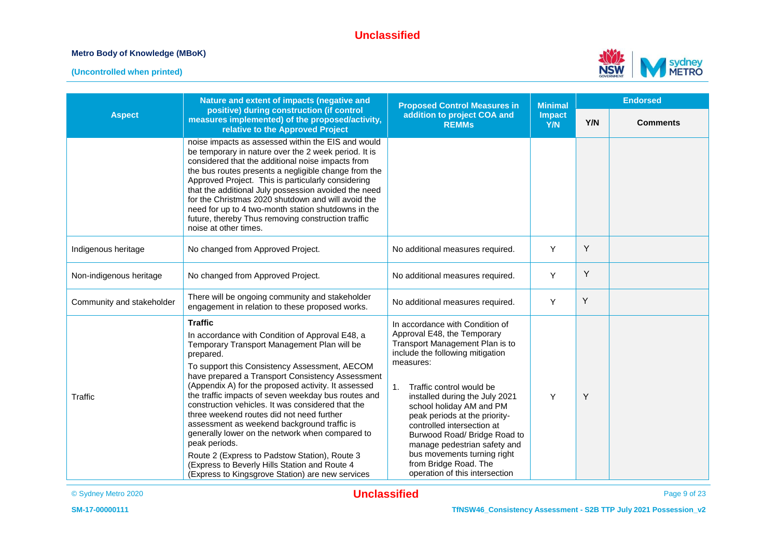#### **Metro Body of Knowledge (MBoK)**





|                           | Nature and extent of impacts (negative and                                                                                                                                                                                                                                                                                                                                                                                                                                                                                                                                                                                                                                                                                  | <b>Proposed Control Measures in</b>                                                                                                                                                                                                                                                                                                                                                                                                                                                     | <b>Minimal</b> | <b>Endorsed</b> |                 |
|---------------------------|-----------------------------------------------------------------------------------------------------------------------------------------------------------------------------------------------------------------------------------------------------------------------------------------------------------------------------------------------------------------------------------------------------------------------------------------------------------------------------------------------------------------------------------------------------------------------------------------------------------------------------------------------------------------------------------------------------------------------------|-----------------------------------------------------------------------------------------------------------------------------------------------------------------------------------------------------------------------------------------------------------------------------------------------------------------------------------------------------------------------------------------------------------------------------------------------------------------------------------------|----------------|-----------------|-----------------|
| <b>Aspect</b>             | positive) during construction (if control<br>measures implemented) of the proposed/activity,<br>relative to the Approved Project                                                                                                                                                                                                                                                                                                                                                                                                                                                                                                                                                                                            | addition to project COA and<br><b>REMMs</b>                                                                                                                                                                                                                                                                                                                                                                                                                                             | Impact<br>Y/N  | Y/N             | <b>Comments</b> |
|                           | noise impacts as assessed within the EIS and would<br>be temporary in nature over the 2 week period. It is<br>considered that the additional noise impacts from<br>the bus routes presents a negligible change from the<br>Approved Project. This is particularly considering<br>that the additional July possession avoided the need<br>for the Christmas 2020 shutdown and will avoid the<br>need for up to 4 two-month station shutdowns in the<br>future, thereby Thus removing construction traffic<br>noise at other times.                                                                                                                                                                                           |                                                                                                                                                                                                                                                                                                                                                                                                                                                                                         |                |                 |                 |
| Indigenous heritage       | No changed from Approved Project.                                                                                                                                                                                                                                                                                                                                                                                                                                                                                                                                                                                                                                                                                           | No additional measures required.                                                                                                                                                                                                                                                                                                                                                                                                                                                        | Y              | Υ               |                 |
| Non-indigenous heritage   | No changed from Approved Project.                                                                                                                                                                                                                                                                                                                                                                                                                                                                                                                                                                                                                                                                                           | No additional measures required.                                                                                                                                                                                                                                                                                                                                                                                                                                                        | Y              | Y               |                 |
| Community and stakeholder | There will be ongoing community and stakeholder<br>engagement in relation to these proposed works.                                                                                                                                                                                                                                                                                                                                                                                                                                                                                                                                                                                                                          | No additional measures required.                                                                                                                                                                                                                                                                                                                                                                                                                                                        | Y              | Υ               |                 |
| Traffic                   | <b>Traffic</b><br>In accordance with Condition of Approval E48, a<br>Temporary Transport Management Plan will be<br>prepared.<br>To support this Consistency Assessment, AECOM<br>have prepared a Transport Consistency Assessment<br>(Appendix A) for the proposed activity. It assessed<br>the traffic impacts of seven weekday bus routes and<br>construction vehicles. It was considered that the<br>three weekend routes did not need further<br>assessment as weekend background traffic is<br>generally lower on the network when compared to<br>peak periods.<br>Route 2 (Express to Padstow Station), Route 3<br>(Express to Beverly Hills Station and Route 4<br>(Express to Kingsgrove Station) are new services | In accordance with Condition of<br>Approval E48, the Temporary<br>Transport Management Plan is to<br>include the following mitigation<br>measures:<br>Traffic control would be<br>1 <sub>1</sub><br>installed during the July 2021<br>school holiday AM and PM<br>peak periods at the priority-<br>controlled intersection at<br>Burwood Road/ Bridge Road to<br>manage pedestrian safety and<br>bus movements turning right<br>from Bridge Road. The<br>operation of this intersection | Y              | Y               |                 |

© Sydney Metro 2020 **Unclassified** Page 9 of 23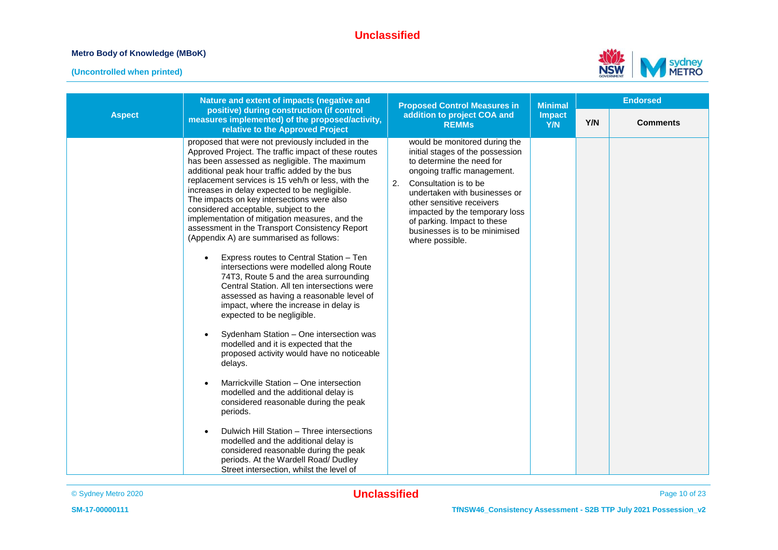#### **Metro Body of Knowledge (MBoK)**



|               | Nature and extent of impacts (negative and                                                                                                                                                                                                                                                                                                                                                                                                                                                                                                                                                                                                                                                                                                                                                                                                                                                                                                                                                                                                                                                                                                                                                                                                                                                                                                                        | <b>Proposed Control Measures in</b>                                                                                                                                                                                                                                                                                                             | <b>Minimal</b>       |     | <b>Endorsed</b> |
|---------------|-------------------------------------------------------------------------------------------------------------------------------------------------------------------------------------------------------------------------------------------------------------------------------------------------------------------------------------------------------------------------------------------------------------------------------------------------------------------------------------------------------------------------------------------------------------------------------------------------------------------------------------------------------------------------------------------------------------------------------------------------------------------------------------------------------------------------------------------------------------------------------------------------------------------------------------------------------------------------------------------------------------------------------------------------------------------------------------------------------------------------------------------------------------------------------------------------------------------------------------------------------------------------------------------------------------------------------------------------------------------|-------------------------------------------------------------------------------------------------------------------------------------------------------------------------------------------------------------------------------------------------------------------------------------------------------------------------------------------------|----------------------|-----|-----------------|
| <b>Aspect</b> | positive) during construction (if control<br>measures implemented) of the proposed/activity,<br>relative to the Approved Project                                                                                                                                                                                                                                                                                                                                                                                                                                                                                                                                                                                                                                                                                                                                                                                                                                                                                                                                                                                                                                                                                                                                                                                                                                  | addition to project COA and<br><b>REMMs</b>                                                                                                                                                                                                                                                                                                     | <b>Impact</b><br>Y/N | Y/N | <b>Comments</b> |
|               | proposed that were not previously included in the<br>Approved Project. The traffic impact of these routes<br>has been assessed as negligible. The maximum<br>additional peak hour traffic added by the bus<br>replacement services is 15 veh/h or less, with the<br>increases in delay expected to be negligible.<br>The impacts on key intersections were also<br>considered acceptable, subject to the<br>implementation of mitigation measures, and the<br>assessment in the Transport Consistency Report<br>(Appendix A) are summarised as follows:<br>Express routes to Central Station - Ten<br>intersections were modelled along Route<br>74T3, Route 5 and the area surrounding<br>Central Station. All ten intersections were<br>assessed as having a reasonable level of<br>impact, where the increase in delay is<br>expected to be negligible.<br>Sydenham Station - One intersection was<br>modelled and it is expected that the<br>proposed activity would have no noticeable<br>delays.<br>Marrickville Station - One intersection<br>modelled and the additional delay is<br>considered reasonable during the peak<br>periods.<br>Dulwich Hill Station - Three intersections<br>modelled and the additional delay is<br>considered reasonable during the peak<br>periods. At the Wardell Road/ Dudley<br>Street intersection, whilst the level of | would be monitored during the<br>initial stages of the possession<br>to determine the need for<br>ongoing traffic management.<br>Consultation is to be<br>2.<br>undertaken with businesses or<br>other sensitive receivers<br>impacted by the temporary loss<br>of parking. Impact to these<br>businesses is to be minimised<br>where possible. |                      |     |                 |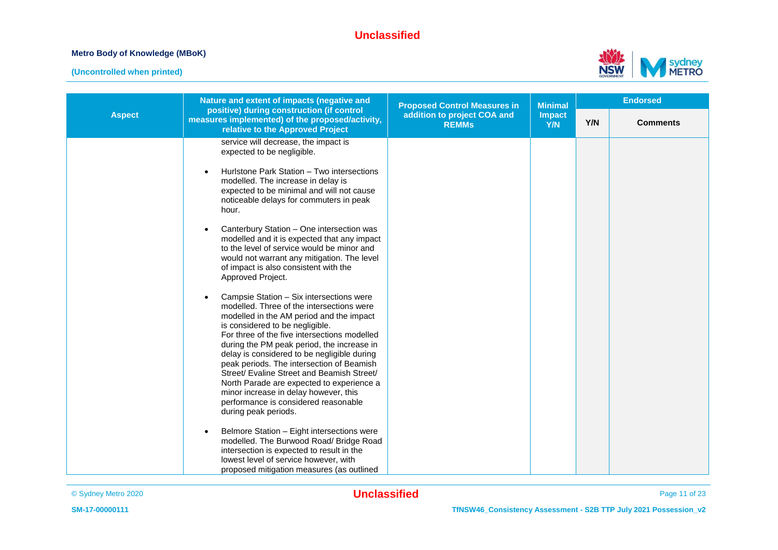#### **Metro Body of Knowledge (MBoK)**



|               | Nature and extent of impacts (negative and                                                                                                                                                                                                                                                                                                                                                                                                                                                                                                                                                                                                                                                                                                                                                                                                                                                                                                                                                                                                                                                                                                                                                                                                                                                                       | <b>Proposed Control Measures in</b>         | <b>Minimal</b>       | <b>Endorsed</b> |                 |  |
|---------------|------------------------------------------------------------------------------------------------------------------------------------------------------------------------------------------------------------------------------------------------------------------------------------------------------------------------------------------------------------------------------------------------------------------------------------------------------------------------------------------------------------------------------------------------------------------------------------------------------------------------------------------------------------------------------------------------------------------------------------------------------------------------------------------------------------------------------------------------------------------------------------------------------------------------------------------------------------------------------------------------------------------------------------------------------------------------------------------------------------------------------------------------------------------------------------------------------------------------------------------------------------------------------------------------------------------|---------------------------------------------|----------------------|-----------------|-----------------|--|
| <b>Aspect</b> | positive) during construction (if control<br>measures implemented) of the proposed/activity,<br>relative to the Approved Project                                                                                                                                                                                                                                                                                                                                                                                                                                                                                                                                                                                                                                                                                                                                                                                                                                                                                                                                                                                                                                                                                                                                                                                 | addition to project COA and<br><b>REMMs</b> | <b>Impact</b><br>Y/N | Y/N             | <b>Comments</b> |  |
|               | service will decrease, the impact is<br>expected to be negligible.<br>Hurlstone Park Station - Two intersections<br>modelled. The increase in delay is<br>expected to be minimal and will not cause<br>noticeable delays for commuters in peak<br>hour.<br>Canterbury Station - One intersection was<br>modelled and it is expected that any impact<br>to the level of service would be minor and<br>would not warrant any mitigation. The level<br>of impact is also consistent with the<br>Approved Project.<br>Campsie Station - Six intersections were<br>modelled. Three of the intersections were<br>modelled in the AM period and the impact<br>is considered to be negligible.<br>For three of the five intersections modelled<br>during the PM peak period, the increase in<br>delay is considered to be negligible during<br>peak periods. The intersection of Beamish<br>Street/ Evaline Street and Beamish Street/<br>North Parade are expected to experience a<br>minor increase in delay however, this<br>performance is considered reasonable<br>during peak periods.<br>Belmore Station - Eight intersections were<br>modelled. The Burwood Road/ Bridge Road<br>intersection is expected to result in the<br>lowest level of service however, with<br>proposed mitigation measures (as outlined |                                             |                      |                 |                 |  |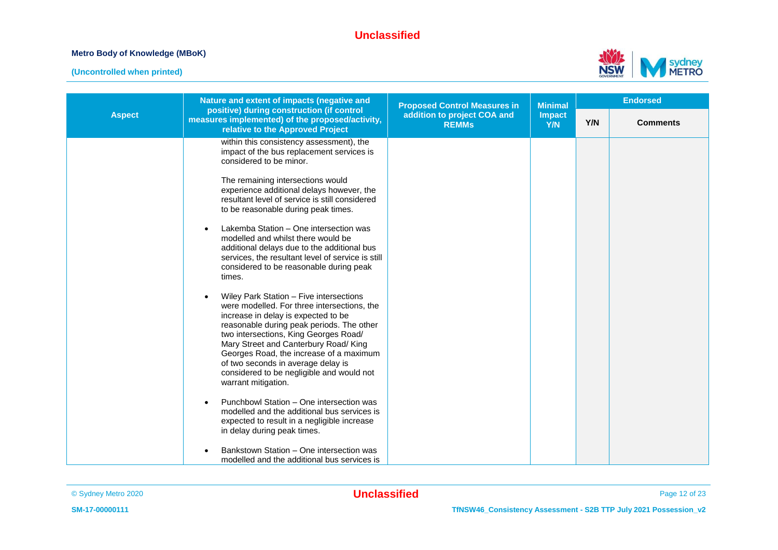#### **Metro Body of Knowledge (MBoK)**



|               | Nature and extent of impacts (negative and                                                                                                                                                                                                                                                                                                                                                                                                                                                                                                                                                                                                                                                                                                                                                                                                                                                                                                                                                                                                                                                                                         | <b>Proposed Control Measures in</b>         | <b>Minimal</b><br><b>Impact</b><br>Y/N | <b>Endorsed</b> |                 |
|---------------|------------------------------------------------------------------------------------------------------------------------------------------------------------------------------------------------------------------------------------------------------------------------------------------------------------------------------------------------------------------------------------------------------------------------------------------------------------------------------------------------------------------------------------------------------------------------------------------------------------------------------------------------------------------------------------------------------------------------------------------------------------------------------------------------------------------------------------------------------------------------------------------------------------------------------------------------------------------------------------------------------------------------------------------------------------------------------------------------------------------------------------|---------------------------------------------|----------------------------------------|-----------------|-----------------|
| <b>Aspect</b> | positive) during construction (if control<br>measures implemented) of the proposed/activity,<br>relative to the Approved Project                                                                                                                                                                                                                                                                                                                                                                                                                                                                                                                                                                                                                                                                                                                                                                                                                                                                                                                                                                                                   | addition to project COA and<br><b>REMMs</b> |                                        | Y/N             | <b>Comments</b> |
|               | within this consistency assessment), the<br>impact of the bus replacement services is<br>considered to be minor.<br>The remaining intersections would<br>experience additional delays however, the<br>resultant level of service is still considered<br>to be reasonable during peak times.<br>Lakemba Station - One intersection was<br>modelled and whilst there would be<br>additional delays due to the additional bus<br>services, the resultant level of service is still<br>considered to be reasonable during peak<br>times.<br>Wiley Park Station - Five intersections<br>were modelled. For three intersections, the<br>increase in delay is expected to be<br>reasonable during peak periods. The other<br>two intersections, King Georges Road/<br>Mary Street and Canterbury Road/ King<br>Georges Road, the increase of a maximum<br>of two seconds in average delay is<br>considered to be negligible and would not<br>warrant mitigation.<br>Punchbowl Station - One intersection was<br>modelled and the additional bus services is<br>expected to result in a negligible increase<br>in delay during peak times. |                                             |                                        |                 |                 |
|               | Bankstown Station - One intersection was<br>modelled and the additional bus services is                                                                                                                                                                                                                                                                                                                                                                                                                                                                                                                                                                                                                                                                                                                                                                                                                                                                                                                                                                                                                                            |                                             |                                        |                 |                 |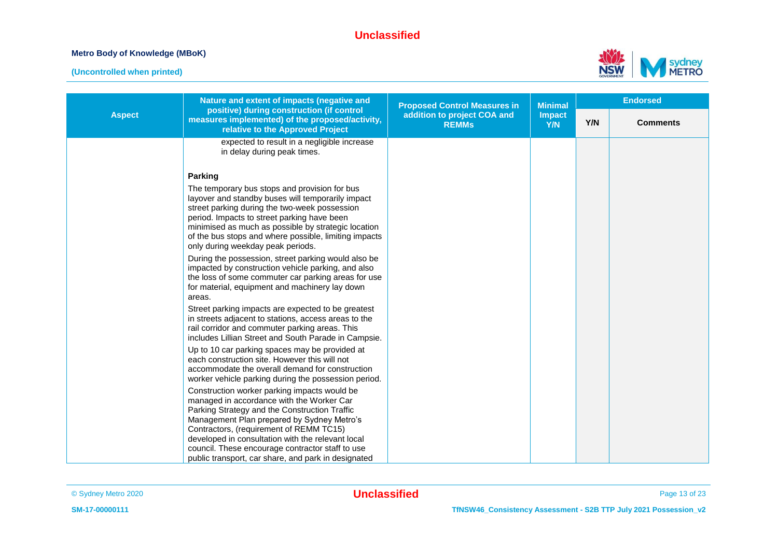#### **Metro Body of Knowledge (MBoK)**



| <b>Aspect</b> | Nature and extent of impacts (negative and                                                                                                                                                                                                                                                                                                                                                          | <b>Proposed Control Measures in</b>         | <b>Minimal</b>       | <b>Endorsed</b> |                 |
|---------------|-----------------------------------------------------------------------------------------------------------------------------------------------------------------------------------------------------------------------------------------------------------------------------------------------------------------------------------------------------------------------------------------------------|---------------------------------------------|----------------------|-----------------|-----------------|
|               | positive) during construction (if control<br>measures implemented) of the proposed/activity,<br>relative to the Approved Project                                                                                                                                                                                                                                                                    | addition to project COA and<br><b>REMMs</b> | <b>Impact</b><br>Y/N | Y/N             | <b>Comments</b> |
|               | expected to result in a negligible increase<br>in delay during peak times.                                                                                                                                                                                                                                                                                                                          |                                             |                      |                 |                 |
|               | Parking                                                                                                                                                                                                                                                                                                                                                                                             |                                             |                      |                 |                 |
|               | The temporary bus stops and provision for bus<br>layover and standby buses will temporarily impact<br>street parking during the two-week possession<br>period. Impacts to street parking have been<br>minimised as much as possible by strategic location<br>of the bus stops and where possible, limiting impacts<br>only during weekday peak periods.                                             |                                             |                      |                 |                 |
|               | During the possession, street parking would also be<br>impacted by construction vehicle parking, and also<br>the loss of some commuter car parking areas for use<br>for material, equipment and machinery lay down<br>areas.                                                                                                                                                                        |                                             |                      |                 |                 |
|               | Street parking impacts are expected to be greatest<br>in streets adjacent to stations, access areas to the<br>rail corridor and commuter parking areas. This<br>includes Lillian Street and South Parade in Campsie.                                                                                                                                                                                |                                             |                      |                 |                 |
|               | Up to 10 car parking spaces may be provided at<br>each construction site. However this will not<br>accommodate the overall demand for construction<br>worker vehicle parking during the possession period.                                                                                                                                                                                          |                                             |                      |                 |                 |
|               | Construction worker parking impacts would be<br>managed in accordance with the Worker Car<br>Parking Strategy and the Construction Traffic<br>Management Plan prepared by Sydney Metro's<br>Contractors, (requirement of REMM TC15)<br>developed in consultation with the relevant local<br>council. These encourage contractor staff to use<br>public transport, car share, and park in designated |                                             |                      |                 |                 |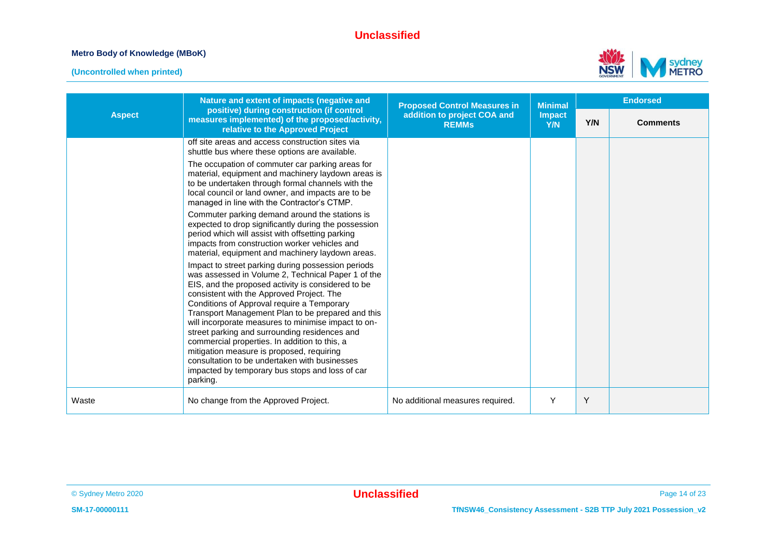#### **Metro Body of Knowledge (MBoK)**



| <b>Aspect</b> | Nature and extent of impacts (negative and<br>positive) during construction (if control<br>measures implemented) of the proposed/activity,<br>relative to the Approved Project                                                                                                                                                                                                                                                                                                                                                                                                                                                       | <b>Proposed Control Measures in</b>         | <b>Minimal</b><br><b>Impact</b><br><b>Y/N</b> | <b>Endorsed</b> |                 |
|---------------|--------------------------------------------------------------------------------------------------------------------------------------------------------------------------------------------------------------------------------------------------------------------------------------------------------------------------------------------------------------------------------------------------------------------------------------------------------------------------------------------------------------------------------------------------------------------------------------------------------------------------------------|---------------------------------------------|-----------------------------------------------|-----------------|-----------------|
|               |                                                                                                                                                                                                                                                                                                                                                                                                                                                                                                                                                                                                                                      | addition to project COA and<br><b>REMMs</b> |                                               | Y/N             | <b>Comments</b> |
|               | off site areas and access construction sites via<br>shuttle bus where these options are available.                                                                                                                                                                                                                                                                                                                                                                                                                                                                                                                                   |                                             |                                               |                 |                 |
|               | The occupation of commuter car parking areas for<br>material, equipment and machinery laydown areas is<br>to be undertaken through formal channels with the<br>local council or land owner, and impacts are to be<br>managed in line with the Contractor's CTMP.                                                                                                                                                                                                                                                                                                                                                                     |                                             |                                               |                 |                 |
|               | Commuter parking demand around the stations is<br>expected to drop significantly during the possession<br>period which will assist with offsetting parking<br>impacts from construction worker vehicles and<br>material, equipment and machinery laydown areas.                                                                                                                                                                                                                                                                                                                                                                      |                                             |                                               |                 |                 |
|               | Impact to street parking during possession periods<br>was assessed in Volume 2, Technical Paper 1 of the<br>EIS, and the proposed activity is considered to be<br>consistent with the Approved Project. The<br>Conditions of Approval require a Temporary<br>Transport Management Plan to be prepared and this<br>will incorporate measures to minimise impact to on-<br>street parking and surrounding residences and<br>commercial properties. In addition to this, a<br>mitigation measure is proposed, requiring<br>consultation to be undertaken with businesses<br>impacted by temporary bus stops and loss of car<br>parking. |                                             |                                               |                 |                 |
| Waste         | No change from the Approved Project.                                                                                                                                                                                                                                                                                                                                                                                                                                                                                                                                                                                                 | No additional measures required.            | Y                                             | Y               |                 |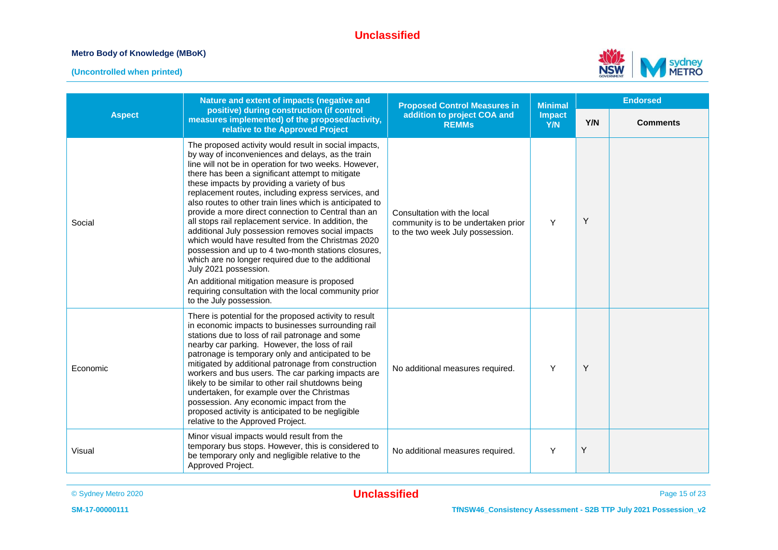#### **Metro Body of Knowledge (MBoK)**



|               | Nature and extent of impacts (negative and                                                                                                                                                                                                                                                                                                                                                                                                                                                                                                                                                                                                                                                                                                                                                                                                                                                   | <b>Proposed Control Measures in</b>                                                                    | <b>Minimal</b> | <b>Endorsed</b> |                 |
|---------------|----------------------------------------------------------------------------------------------------------------------------------------------------------------------------------------------------------------------------------------------------------------------------------------------------------------------------------------------------------------------------------------------------------------------------------------------------------------------------------------------------------------------------------------------------------------------------------------------------------------------------------------------------------------------------------------------------------------------------------------------------------------------------------------------------------------------------------------------------------------------------------------------|--------------------------------------------------------------------------------------------------------|----------------|-----------------|-----------------|
| <b>Aspect</b> | positive) during construction (if control<br>measures implemented) of the proposed/activity,<br>relative to the Approved Project                                                                                                                                                                                                                                                                                                                                                                                                                                                                                                                                                                                                                                                                                                                                                             | addition to project COA and<br><b>REMMs</b>                                                            | Impact<br>Y/N  | Y/N             | <b>Comments</b> |
| Social        | The proposed activity would result in social impacts,<br>by way of inconveniences and delays, as the train<br>line will not be in operation for two weeks. However,<br>there has been a significant attempt to mitigate<br>these impacts by providing a variety of bus<br>replacement routes, including express services, and<br>also routes to other train lines which is anticipated to<br>provide a more direct connection to Central than an<br>all stops rail replacement service. In addition, the<br>additional July possession removes social impacts<br>which would have resulted from the Christmas 2020<br>possession and up to 4 two-month stations closures,<br>which are no longer required due to the additional<br>July 2021 possession.<br>An additional mitigation measure is proposed<br>requiring consultation with the local community prior<br>to the July possession. | Consultation with the local<br>community is to be undertaken prior<br>to the two week July possession. | Y              | Υ               |                 |
| Economic      | There is potential for the proposed activity to result<br>in economic impacts to businesses surrounding rail<br>stations due to loss of rail patronage and some<br>nearby car parking. However, the loss of rail<br>patronage is temporary only and anticipated to be<br>mitigated by additional patronage from construction<br>workers and bus users. The car parking impacts are<br>likely to be similar to other rail shutdowns being<br>undertaken, for example over the Christmas<br>possession. Any economic impact from the<br>proposed activity is anticipated to be negligible<br>relative to the Approved Project.                                                                                                                                                                                                                                                                 | No additional measures required.                                                                       | Y              | Y               |                 |
| Visual        | Minor visual impacts would result from the<br>temporary bus stops. However, this is considered to<br>be temporary only and negligible relative to the<br>Approved Project.                                                                                                                                                                                                                                                                                                                                                                                                                                                                                                                                                                                                                                                                                                                   | No additional measures required.                                                                       | Y              | Υ               |                 |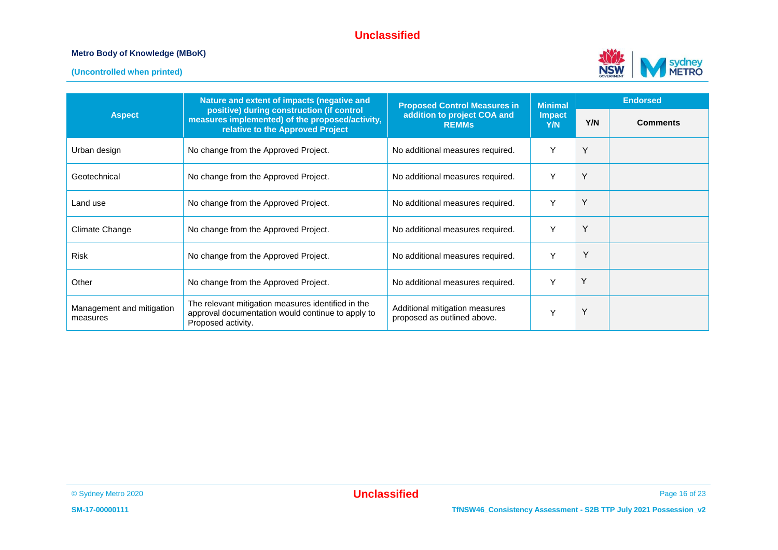#### **Metro Body of Knowledge (MBoK)**



|                                       | Nature and extent of impacts (negative and                                                                                       | <b>Proposed Control Measures in</b>                           | <b>Minimal</b>              | <b>Endorsed</b> |                 |
|---------------------------------------|----------------------------------------------------------------------------------------------------------------------------------|---------------------------------------------------------------|-----------------------------|-----------------|-----------------|
| <b>Aspect</b>                         | positive) during construction (if control<br>measures implemented) of the proposed/activity,<br>relative to the Approved Project | addition to project COA and<br><b>REMMs</b>                   | <b>Impact</b><br><b>Y/N</b> | Y/N             | <b>Comments</b> |
| Urban design                          | No change from the Approved Project.                                                                                             | No additional measures required.                              | Y                           | Υ               |                 |
| Geotechnical                          | No change from the Approved Project.                                                                                             | No additional measures required.                              |                             | Υ               |                 |
| Land use                              | No change from the Approved Project.                                                                                             | No additional measures required.                              | Y                           | Υ               |                 |
| Climate Change                        | No change from the Approved Project.                                                                                             | No additional measures required.                              | Y                           | Υ               |                 |
| <b>Risk</b>                           | No change from the Approved Project.                                                                                             | No additional measures required.                              | Y                           | Y               |                 |
| Other                                 | No change from the Approved Project.                                                                                             | No additional measures required.                              | Y                           | Υ               |                 |
| Management and mitigation<br>measures | The relevant mitigation measures identified in the<br>approval documentation would continue to apply to<br>Proposed activity.    | Additional mitigation measures<br>proposed as outlined above. | Y                           | Υ               |                 |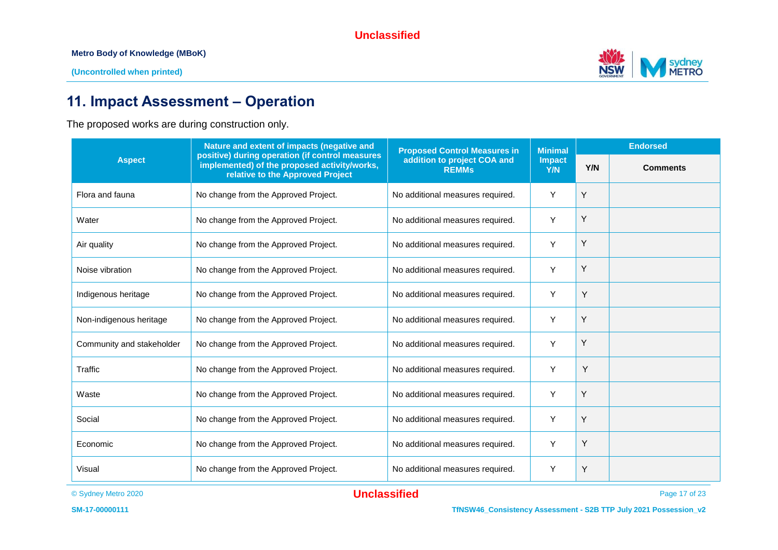**Metro Body of Knowledge (MBoK)**

**(Uncontrolled when printed)**



## **11. Impact Assessment – Operation**

The proposed works are during construction only.

|                           | Nature and extent of impacts (negative and                                                                                          | <b>Proposed Control Measures in</b>         | <b>Minimal</b>       | <b>Endorsed</b> |                 |
|---------------------------|-------------------------------------------------------------------------------------------------------------------------------------|---------------------------------------------|----------------------|-----------------|-----------------|
| <b>Aspect</b>             | positive) during operation (if control measures<br>implemented) of the proposed activity/works,<br>relative to the Approved Project | addition to project COA and<br><b>REMMs</b> | <b>Impact</b><br>Y/N | Y/N             | <b>Comments</b> |
| Flora and fauna           | No change from the Approved Project.                                                                                                | No additional measures required.            | Y                    | Υ               |                 |
| Water                     | No change from the Approved Project.                                                                                                | No additional measures required.            | Y                    | Y               |                 |
| Air quality               | No change from the Approved Project.                                                                                                | No additional measures required.            | Y                    | Υ               |                 |
| Noise vibration           | No change from the Approved Project.                                                                                                | No additional measures required.            | Y                    | Y               |                 |
| Indigenous heritage       | No change from the Approved Project.                                                                                                | No additional measures required.            | Y                    | Υ               |                 |
| Non-indigenous heritage   | No change from the Approved Project.                                                                                                | No additional measures required.            | Y                    | Y               |                 |
| Community and stakeholder | No change from the Approved Project.                                                                                                | No additional measures required.            | Y                    | Y               |                 |
| Traffic                   | No change from the Approved Project.                                                                                                | No additional measures required.            | Y                    | Y               |                 |
| Waste                     | No change from the Approved Project.                                                                                                | No additional measures required.            | Y                    | Υ               |                 |
| Social                    | No change from the Approved Project.                                                                                                | No additional measures required.            | Y                    | Y               |                 |
| Economic                  | No change from the Approved Project.                                                                                                | No additional measures required.            | Y                    | Υ               |                 |
| Visual                    | No change from the Approved Project.                                                                                                | No additional measures required.            | Y                    | Y               |                 |

© Sydney Metro 2020 **Unclassified** Page 17 of 23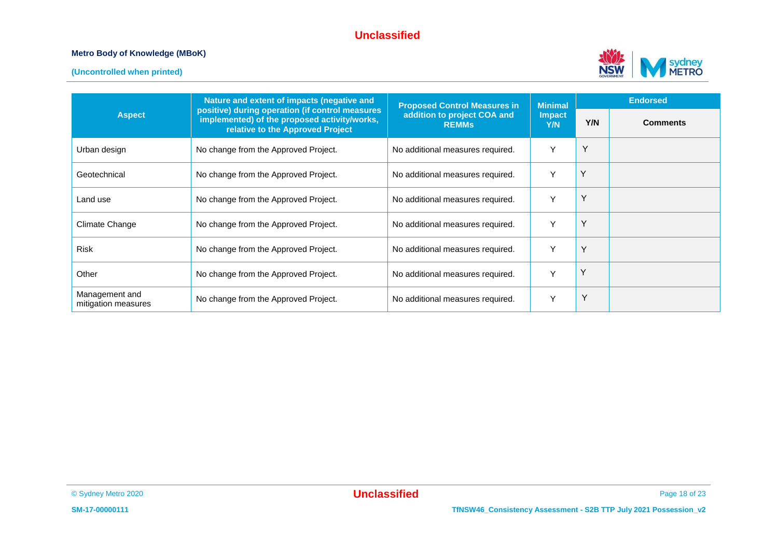#### **Metro Body of Knowledge (MBoK)**



|                                       | Nature and extent of impacts (negative and<br>positive) during operation (if control measures<br>implemented) of the proposed activity/works,<br>relative to the Approved Project | <b>Proposed Control Measures in</b>         | <b>Minimal</b><br><b>Impact</b><br>Y/N | <b>Endorsed</b> |                 |
|---------------------------------------|-----------------------------------------------------------------------------------------------------------------------------------------------------------------------------------|---------------------------------------------|----------------------------------------|-----------------|-----------------|
| <b>Aspect</b>                         |                                                                                                                                                                                   | addition to project COA and<br><b>REMMS</b> |                                        | Y/N             | <b>Comments</b> |
| Urban design                          | No change from the Approved Project.                                                                                                                                              | No additional measures required.            | Y                                      | Y               |                 |
| Geotechnical                          | No change from the Approved Project.                                                                                                                                              | No additional measures required.            | Y                                      | Y               |                 |
| Land use                              | No change from the Approved Project.                                                                                                                                              | No additional measures required.            | Y                                      | Υ               |                 |
| Climate Change                        | No change from the Approved Project.                                                                                                                                              | No additional measures required.            | Y                                      | Υ               |                 |
| <b>Risk</b>                           | No change from the Approved Project.                                                                                                                                              | No additional measures required.            | Y                                      | Y               |                 |
| Other                                 | No change from the Approved Project.                                                                                                                                              | No additional measures required.            | Y                                      | Υ               |                 |
| Management and<br>mitigation measures | No change from the Approved Project.                                                                                                                                              | No additional measures required.            | Y                                      | Y               |                 |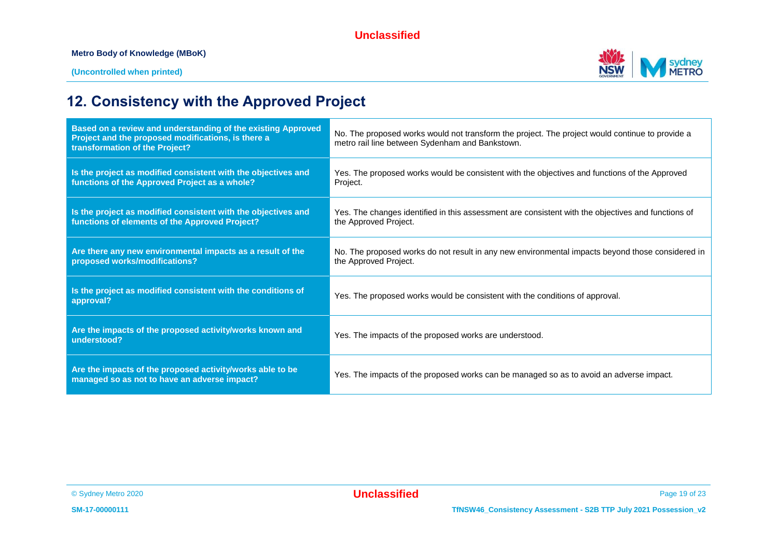

## **12. Consistency with the Approved Project**

| Based on a review and understanding of the existing Approved<br>Project and the proposed modifications, is there a<br>transformation of the Project? | No. The proposed works would not transform the project. The project would continue to provide a<br>metro rail line between Sydenham and Bankstown. |
|------------------------------------------------------------------------------------------------------------------------------------------------------|----------------------------------------------------------------------------------------------------------------------------------------------------|
| Is the project as modified consistent with the objectives and<br>functions of the Approved Project as a whole?                                       | Yes. The proposed works would be consistent with the objectives and functions of the Approved<br>Project.                                          |
| Is the project as modified consistent with the objectives and<br>functions of elements of the Approved Project?                                      | Yes. The changes identified in this assessment are consistent with the objectives and functions of<br>the Approved Project.                        |
| Are there any new environmental impacts as a result of the<br>proposed works/modifications?                                                          | No. The proposed works do not result in any new environmental impacts beyond those considered in<br>the Approved Project.                          |
| Is the project as modified consistent with the conditions of<br>approval?                                                                            | Yes. The proposed works would be consistent with the conditions of approval.                                                                       |
| Are the impacts of the proposed activity/works known and<br>understood?                                                                              | Yes. The impacts of the proposed works are understood.                                                                                             |
| Are the impacts of the proposed activity/works able to be<br>managed so as not to have an adverse impact?                                            | Yes. The impacts of the proposed works can be managed so as to avoid an adverse impact.                                                            |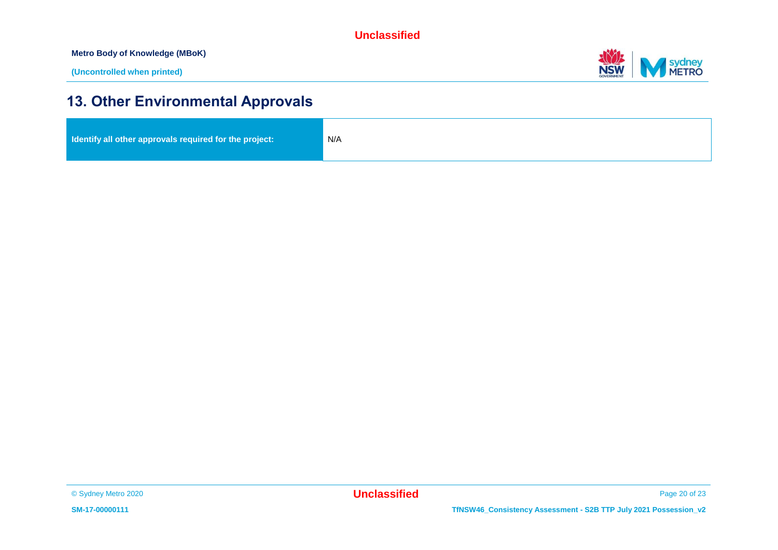**Metro Body of Knowledge (MBoK)**



## **13. Other Environmental Approvals**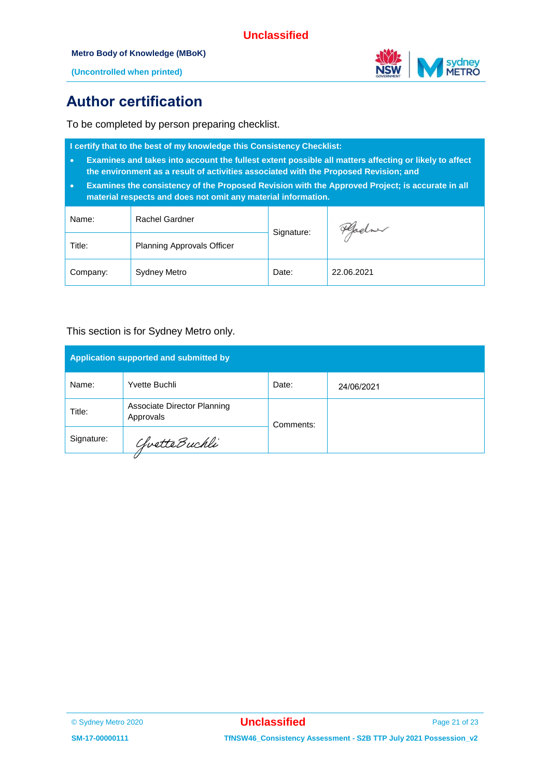

**(Uncontrolled when printed)**

## **Author certification**

To be completed by person preparing checklist.

**I certify that to the best of my knowledge this Consistency Checklist:**

- **Examines and takes into account the fullest extent possible all matters affecting or likely to affect the environment as a result of activities associated with the Proposed Revision; and**
- **Examines the consistency of the Proposed Revision with the Approved Project; is accurate in all material respects and does not omit any material information.**

| Name:    | Rachel Gardner                    | Signature: | Hadre      |  |
|----------|-----------------------------------|------------|------------|--|
| Title:   | <b>Planning Approvals Officer</b> |            |            |  |
| Company: | Sydney Metro                      | Date:      | 22.06.2021 |  |

#### This section is for Sydney Metro only.

| Application supported and submitted by |                                          |           |            |  |  |
|----------------------------------------|------------------------------------------|-----------|------------|--|--|
| Name:                                  | Yvette Buchli                            | Date:     | 24/06/2021 |  |  |
| Title:                                 | Associate Director Planning<br>Approvals | Comments: |            |  |  |
| Signature:<br>ChvetteBuchli            |                                          |           |            |  |  |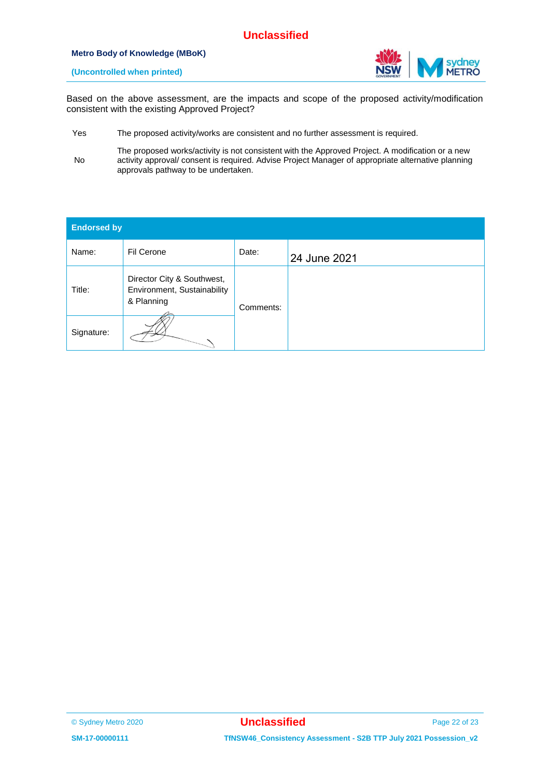#### **Metro Body of Knowledge (MBoK)**



**(Uncontrolled when printed)**

Based on the above assessment, are the impacts and scope of the proposed activity/modification consistent with the existing Approved Project?

- Yes The proposed activity/works are consistent and no further assessment is required.
- No The proposed works/activity is not consistent with the Approved Project. A modification or a new activity approval/ consent is required. Advise Project Manager of appropriate alternative planning approvals pathway to be undertaken.

| <b>Endorsed by</b> |                                                                         |           |              |  |  |
|--------------------|-------------------------------------------------------------------------|-----------|--------------|--|--|
| Name:              | Fil Cerone                                                              | Date:     | 24 June 2021 |  |  |
| Title:             | Director City & Southwest,<br>Environment, Sustainability<br>& Planning | Comments: |              |  |  |
| Signature:         |                                                                         |           |              |  |  |